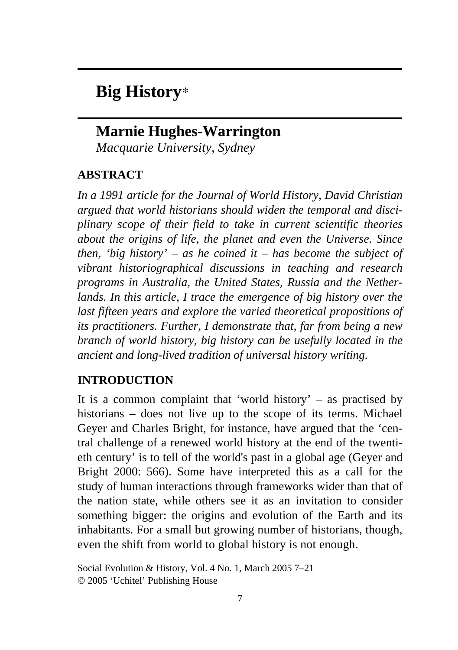# **Big History**\*

## **Marnie Hughes-Warrington**

*Macquarie University, Sydney* 

### **ABSTRACT**

*In a 1991 article for the Journal of World History, David Christian argued that world historians should widen the temporal and disciplinary scope of their field to take in current scientific theories about the origins of life, the planet and even the Universe. Since then, 'big history' – as he coined it – has become the subject of vibrant historiographical discussions in teaching and research programs in Australia, the United States, Russia and the Netherlands. In this article, I trace the emergence of big history over the last fifteen years and explore the varied theoretical propositions of its practitioners. Further, I demonstrate that, far from being a new branch of world history, big history can be usefully located in the ancient and long-lived tradition of universal history writing.* 

### **INTRODUCTION**

It is a common complaint that 'world history' – as practised by historians – does not live up to the scope of its terms. Michael Geyer and Charles Bright, for instance, have argued that the 'central challenge of a renewed world history at the end of the twentieth century' is to tell of the world's past in a global age (Geyer and Bright 2000: 566). Some have interpreted this as a call for the study of human interactions through frameworks wider than that of the nation state, while others see it as an invitation to consider something bigger: the origins and evolution of the Earth and its inhabitants. For a small but growing number of historians, though, even the shift from world to global history is not enough.

Social Evolution & History, Vol. 4 No. 1, March 2005 7–21 © 2005 'Uchitel' Publishing House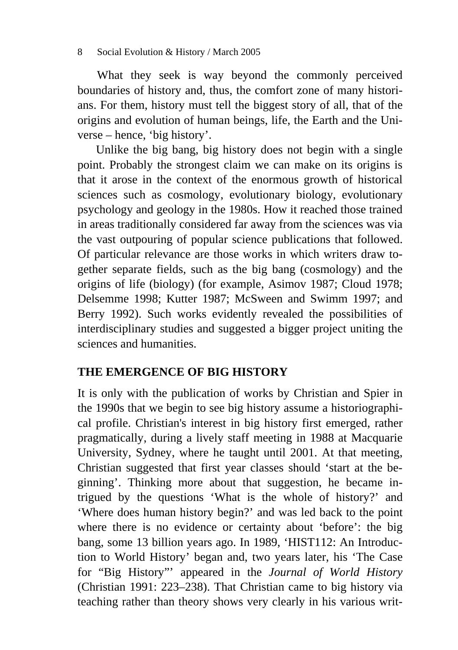What they seek is way beyond the commonly perceived boundaries of history and, thus, the comfort zone of many historians. For them, history must tell the biggest story of all, that of the origins and evolution of human beings, life, the Earth and the Universe – hence, 'big history'.

Unlike the big bang, big history does not begin with a single point. Probably the strongest claim we can make on its origins is that it arose in the context of the enormous growth of historical sciences such as cosmology, evolutionary biology, evolutionary psychology and geology in the 1980s. How it reached those trained in areas traditionally considered far away from the sciences was via the vast outpouring of popular science publications that followed. Of particular relevance are those works in which writers draw together separate fields, such as the big bang (cosmology) and the origins of life (biology) (for example, Asimov 1987; Cloud 1978; Delsemme 1998; Kutter 1987; McSween and Swimm 1997; and Berry 1992). Such works evidently revealed the possibilities of interdisciplinary studies and suggested a bigger project uniting the sciences and humanities.

### **THE EMERGENCE OF BIG HISTORY**

It is only with the publication of works by Christian and Spier in the 1990s that we begin to see big history assume a historiographical profile. Christian's interest in big history first emerged, rather pragmatically, during a lively staff meeting in 1988 at Macquarie University, Sydney, where he taught until 2001. At that meeting, Christian suggested that first year classes should 'start at the beginning'. Thinking more about that suggestion, he became intrigued by the questions 'What is the whole of history?' and 'Where does human history begin?' and was led back to the point where there is no evidence or certainty about 'before': the big bang, some 13 billion years ago. In 1989, 'HIST112: An Introduction to World History' began and, two years later, his 'The Case for "Big History"' appeared in the *Journal of World History* (Christian 1991: 223–238). That Christian came to big history via teaching rather than theory shows very clearly in his various writ-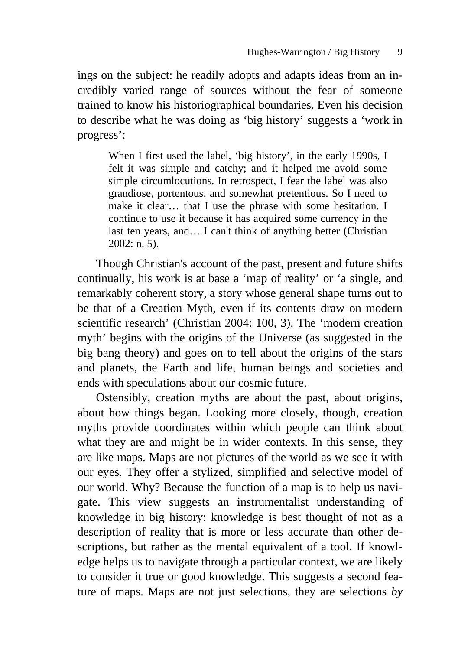ings on the subject: he readily adopts and adapts ideas from an incredibly varied range of sources without the fear of someone trained to know his historiographical boundaries. Even his decision to describe what he was doing as 'big history' suggests a 'work in progress':

When I first used the label, 'big history', in the early 1990s, I felt it was simple and catchy; and it helped me avoid some simple circumlocutions. In retrospect, I fear the label was also grandiose, portentous, and somewhat pretentious. So I need to make it clear… that I use the phrase with some hesitation. I continue to use it because it has acquired some currency in the last ten years, and… I can't think of anything better (Christian 2002: n. 5).

Though Christian's account of the past, present and future shifts continually, his work is at base a 'map of reality' or 'a single, and remarkably coherent story, a story whose general shape turns out to be that of a Creation Myth, even if its contents draw on modern scientific research' (Christian 2004: 100, 3). The 'modern creation myth' begins with the origins of the Universe (as suggested in the big bang theory) and goes on to tell about the origins of the stars and planets, the Earth and life, human beings and societies and ends with speculations about our cosmic future.

Ostensibly, creation myths are about the past, about origins, about how things began. Looking more closely, though, creation myths provide coordinates within which people can think about what they are and might be in wider contexts. In this sense, they are like maps. Maps are not pictures of the world as we see it with our eyes. They offer a stylized, simplified and selective model of our world. Why? Because the function of a map is to help us navigate. This view suggests an instrumentalist understanding of knowledge in big history: knowledge is best thought of not as a description of reality that is more or less accurate than other descriptions, but rather as the mental equivalent of a tool. If knowledge helps us to navigate through a particular context, we are likely to consider it true or good knowledge. This suggests a second feature of maps. Maps are not just selections, they are selections *by*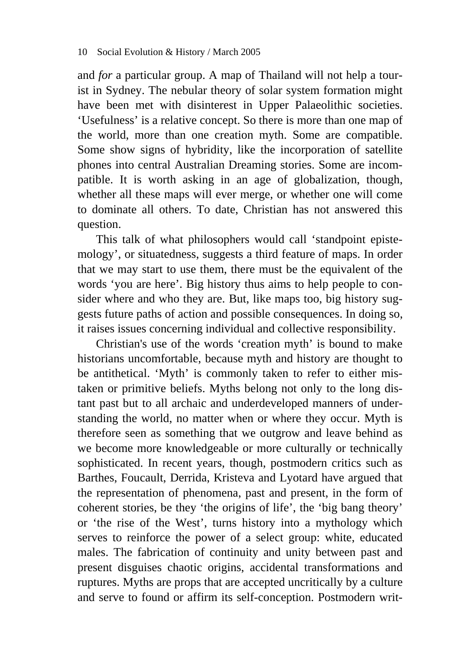and *for* a particular group. A map of Thailand will not help a tourist in Sydney. The nebular theory of solar system formation might have been met with disinterest in Upper Palaeolithic societies. 'Usefulness' is a relative concept. So there is more than one map of the world, more than one creation myth. Some are compatible. Some show signs of hybridity, like the incorporation of satellite phones into central Australian Dreaming stories. Some are incompatible. It is worth asking in an age of globalization, though, whether all these maps will ever merge, or whether one will come to dominate all others. To date, Christian has not answered this question.

This talk of what philosophers would call 'standpoint epistemology', or situatedness, suggests a third feature of maps. In order that we may start to use them, there must be the equivalent of the words 'you are here'. Big history thus aims to help people to consider where and who they are. But, like maps too, big history suggests future paths of action and possible consequences. In doing so, it raises issues concerning individual and collective responsibility.

Christian's use of the words 'creation myth' is bound to make historians uncomfortable, because myth and history are thought to be antithetical. 'Myth' is commonly taken to refer to either mistaken or primitive beliefs. Myths belong not only to the long distant past but to all archaic and underdeveloped manners of understanding the world, no matter when or where they occur. Myth is therefore seen as something that we outgrow and leave behind as we become more knowledgeable or more culturally or technically sophisticated. In recent years, though, postmodern critics such as Barthes, Foucault, Derrida, Kristeva and Lyotard have argued that the representation of phenomena, past and present, in the form of coherent stories, be they 'the origins of life', the 'big bang theory' or 'the rise of the West', turns history into a mythology which serves to reinforce the power of a select group: white, educated males. The fabrication of continuity and unity between past and present disguises chaotic origins, accidental transformations and ruptures. Myths are props that are accepted uncritically by a culture and serve to found or affirm its self-conception. Postmodern writ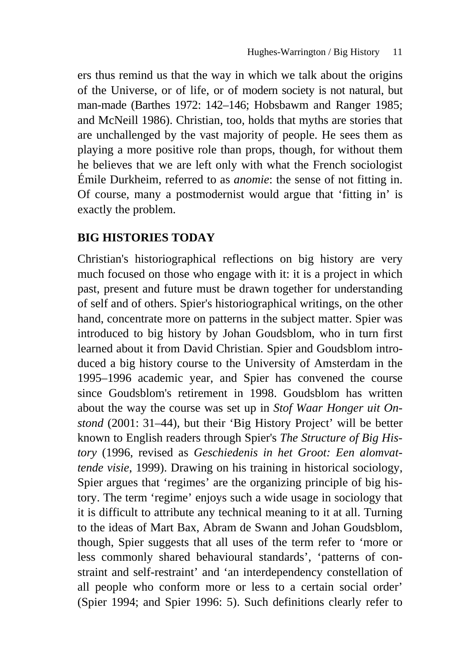ers thus remind us that the way in which we talk about the origins of the Universe, or of life, or of modern society is not natural, but man-made (Barthes 1972: 142–146; Hobsbawm and Ranger 1985; and McNeill 1986). Christian, too, holds that myths are stories that are unchallenged by the vast majority of people. He sees them as playing a more positive role than props, though, for without them he believes that we are left only with what the French sociologist Émile Durkheim, referred to as *anomie*: the sense of not fitting in. Of course, many a postmodernist would argue that 'fitting in' is exactly the problem.

### **BIG HISTORIES TODAY**

Christian's historiographical reflections on big history are very much focused on those who engage with it: it is a project in which past, present and future must be drawn together for understanding of self and of others. Spier's historiographical writings, on the other hand, concentrate more on patterns in the subject matter. Spier was introduced to big history by Johan Goudsblom, who in turn first learned about it from David Christian. Spier and Goudsblom introduced a big history course to the University of Amsterdam in the 1995–1996 academic year, and Spier has convened the course since Goudsblom's retirement in 1998. Goudsblom has written about the way the course was set up in *Stof Waar Honger uit Onstond* (2001: 31–44), but their 'Big History Project' will be better known to English readers through Spier's *The Structure of Big History* (1996, revised as *Geschiedenis in het Groot: Een alomvattende visie*, 1999). Drawing on his training in historical sociology, Spier argues that 'regimes' are the organizing principle of big history. The term 'regime' enjoys such a wide usage in sociology that it is difficult to attribute any technical meaning to it at all. Turning to the ideas of Mart Bax, Abram de Swann and Johan Goudsblom, though, Spier suggests that all uses of the term refer to 'more or less commonly shared behavioural standards', 'patterns of constraint and self-restraint' and 'an interdependency constellation of all people who conform more or less to a certain social order' (Spier 1994; and Spier 1996: 5). Such definitions clearly refer to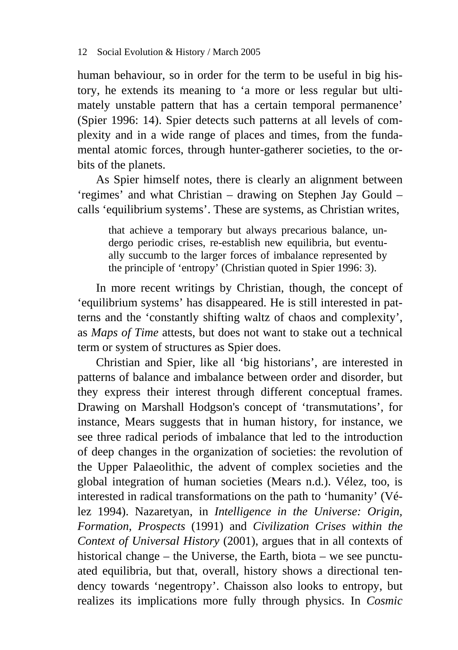human behaviour, so in order for the term to be useful in big history, he extends its meaning to 'a more or less regular but ultimately unstable pattern that has a certain temporal permanence' (Spier 1996: 14). Spier detects such patterns at all levels of complexity and in a wide range of places and times, from the fundamental atomic forces, through hunter-gatherer societies, to the orbits of the planets.

As Spier himself notes, there is clearly an alignment between 'regimes' and what Christian – drawing on Stephen Jay Gould – calls 'equilibrium systems'. These are systems, as Christian writes,

that achieve a temporary but always precarious balance, undergo periodic crises, re-establish new equilibria, but eventually succumb to the larger forces of imbalance represented by the principle of 'entropy' (Christian quoted in Spier 1996: 3).

In more recent writings by Christian, though, the concept of 'equilibrium systems' has disappeared. He is still interested in patterns and the 'constantly shifting waltz of chaos and complexity', as *Maps of Time* attests, but does not want to stake out a technical term or system of structures as Spier does.

Christian and Spier, like all 'big historians', are interested in patterns of balance and imbalance between order and disorder, but they express their interest through different conceptual frames. Drawing on Marshall Hodgson's concept of 'transmutations', for instance, Mears suggests that in human history, for instance, we see three radical periods of imbalance that led to the introduction of deep changes in the organization of societies: the revolution of the Upper Palaeolithic, the advent of complex societies and the global integration of human societies (Mears n.d.). Vélez, too, is interested in radical transformations on the path to 'humanity' (Vélez 1994). Nazaretyan, in *Intelligence in the Universe: Origin, Formation, Prospects* (1991) and *Civilization Crises within the Context of Universal History* (2001), argues that in all contexts of historical change – the Universe, the Earth, biota – we see punctuated equilibria, but that, overall, history shows a directional tendency towards 'negentropy'. Chaisson also looks to entropy, but realizes its implications more fully through physics. In *Cosmic*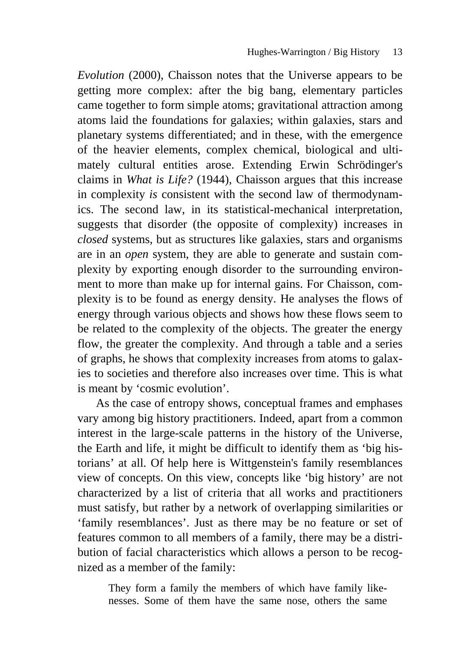*Evolution* (2000), Chaisson notes that the Universe appears to be getting more complex: after the big bang, elementary particles came together to form simple atoms; gravitational attraction among atoms laid the foundations for galaxies; within galaxies, stars and planetary systems differentiated; and in these, with the emergence of the heavier elements, complex chemical, biological and ultimately cultural entities arose. Extending Erwin Schrödinger's claims in *What is Life?* (1944), Chaisson argues that this increase in complexity *is* consistent with the second law of thermodynamics. The second law, in its statistical-mechanical interpretation, suggests that disorder (the opposite of complexity) increases in *closed* systems, but as structures like galaxies, stars and organisms are in an *open* system, they are able to generate and sustain complexity by exporting enough disorder to the surrounding environment to more than make up for internal gains. For Chaisson, complexity is to be found as energy density. He analyses the flows of energy through various objects and shows how these flows seem to be related to the complexity of the objects. The greater the energy flow, the greater the complexity. And through a table and a series of graphs, he shows that complexity increases from atoms to galaxies to societies and therefore also increases over time. This is what is meant by 'cosmic evolution'.

As the case of entropy shows, conceptual frames and emphases vary among big history practitioners. Indeed, apart from a common interest in the large-scale patterns in the history of the Universe, the Earth and life, it might be difficult to identify them as 'big historians' at all. Of help here is Wittgenstein's family resemblances view of concepts. On this view, concepts like 'big history' are not characterized by a list of criteria that all works and practitioners must satisfy, but rather by a network of overlapping similarities or 'family resemblances'. Just as there may be no feature or set of features common to all members of a family, there may be a distribution of facial characteristics which allows a person to be recognized as a member of the family:

They form a family the members of which have family likenesses. Some of them have the same nose, others the same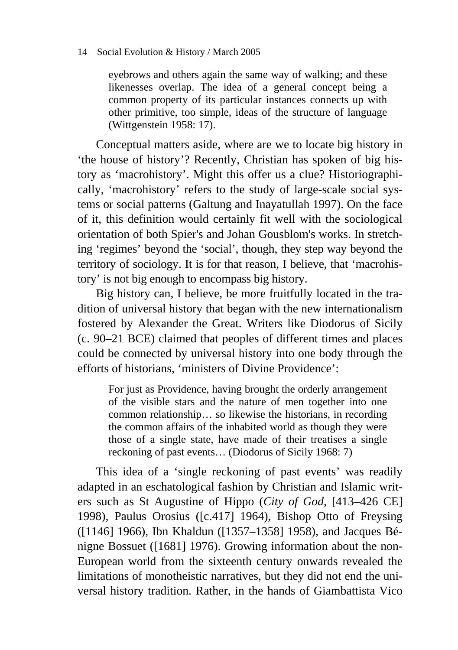#### 14 Social Evolution & History / March 2005

eyebrows and others again the same way of walking; and these likenesses overlap. The idea of a general concept being a common property of its particular instances connects up with other primitive, too simple, ideas of the structure of language (Wittgenstein 1958: 17).

Conceptual matters aside, where are we to locate big history in 'the house of history'? Recently, Christian has spoken of big history as 'macrohistory'. Might this offer us a clue? Historiographically, 'macrohistory' refers to the study of large-scale social systems or social patterns (Galtung and Inayatullah 1997). On the face of it, this definition would certainly fit well with the sociological orientation of both Spier's and Johan Gousblom's works. In stretching 'regimes' beyond the 'social', though, they step way beyond the territory of sociology. It is for that reason, I believe, that 'macrohistory' is not big enough to encompass big history.

Big history can, I believe, be more fruitfully located in the tradition of universal history that began with the new internationalism fostered by Alexander the Great. Writers like Diodorus of Sicily (c. 90–21 BCE) claimed that peoples of different times and places could be connected by universal history into one body through the efforts of historians, 'ministers of Divine Providence':

For just as Providence, having brought the orderly arrangement of the visible stars and the nature of men together into one common relationship… so likewise the historians, in recording the common affairs of the inhabited world as though they were those of a single state, have made of their treatises a single reckoning of past events… (Diodorus of Sicily 1968: 7)

This idea of a 'single reckoning of past events' was readily adapted in an eschatological fashion by Christian and Islamic writers such as St Augustine of Hippo (*City of God*, [413–426 CE] 1998), Paulus Orosius ([c.417] 1964), Bishop Otto of Freysing ([1146] 1966), Ibn Khaldun ([1357–1358] 1958), and Jacques Bénigne Bossuet ([1681] 1976). Growing information about the non-European world from the sixteenth century onwards revealed the limitations of monotheistic narratives, but they did not end the universal history tradition. Rather, in the hands of Giambattista Vico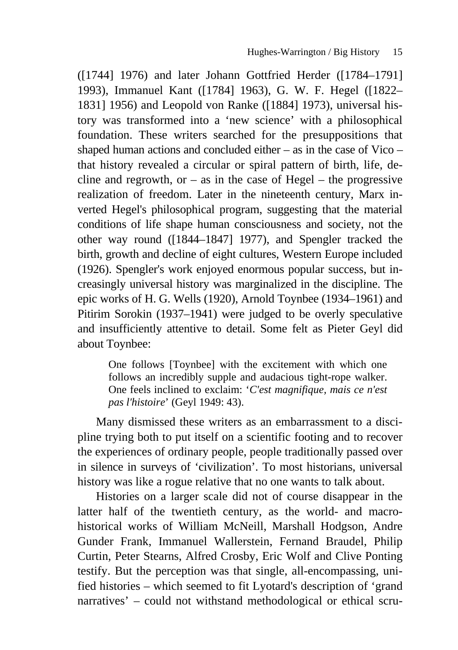([1744] 1976) and later Johann Gottfried Herder ([1784–1791] 1993), Immanuel Kant ([1784] 1963), G. W. F. Hegel ([1822– 1831] 1956) and Leopold von Ranke ([1884] 1973), universal history was transformed into a 'new science' with a philosophical foundation. These writers searched for the presuppositions that shaped human actions and concluded either – as in the case of Vico – that history revealed a circular or spiral pattern of birth, life, decline and regrowth, or  $-$  as in the case of Hegel  $-$  the progressive realization of freedom. Later in the nineteenth century, Marx inverted Hegel's philosophical program, suggesting that the material conditions of life shape human consciousness and society, not the other way round ([1844–1847] 1977), and Spengler tracked the birth, growth and decline of eight cultures, Western Europe included (1926). Spengler's work enjoyed enormous popular success, but increasingly universal history was marginalized in the discipline. The epic works of H. G. Wells (1920), Arnold Toynbee (1934–1961) and Pitirim Sorokin (1937–1941) were judged to be overly speculative and insufficiently attentive to detail. Some felt as Pieter Geyl did about Toynbee:

One follows [Toynbee] with the excitement with which one follows an incredibly supple and audacious tight-rope walker. One feels inclined to exclaim: '*C'est magnifique, mais ce n'est pas l'histoire*' (Geyl 1949: 43).

Many dismissed these writers as an embarrassment to a discipline trying both to put itself on a scientific footing and to recover the experiences of ordinary people, people traditionally passed over in silence in surveys of 'civilization'. To most historians, universal history was like a rogue relative that no one wants to talk about.

Histories on a larger scale did not of course disappear in the latter half of the twentieth century, as the world- and macrohistorical works of William McNeill, Marshall Hodgson, Andre Gunder Frank, Immanuel Wallerstein, Fernand Braudel, Philip Curtin, Peter Stearns, Alfred Crosby, Eric Wolf and Clive Ponting testify. But the perception was that single, all-encompassing, unified histories – which seemed to fit Lyotard's description of 'grand narratives' – could not withstand methodological or ethical scru-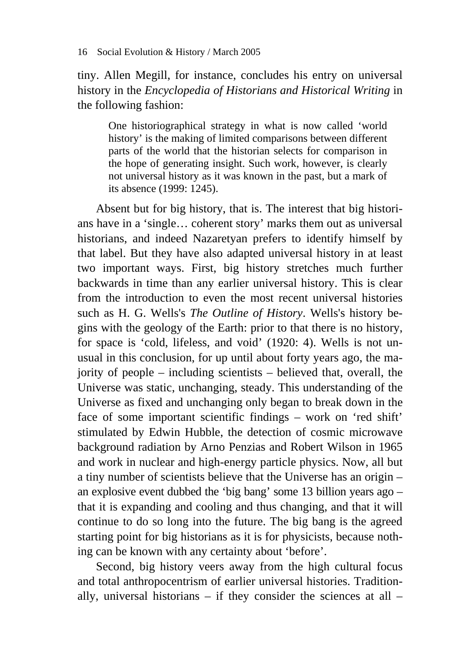tiny. Allen Megill, for instance, concludes his entry on universal history in the *Encyclopedia of Historians and Historical Writing* in the following fashion:

One historiographical strategy in what is now called 'world history' is the making of limited comparisons between different parts of the world that the historian selects for comparison in the hope of generating insight. Such work, however, is clearly not universal history as it was known in the past, but a mark of its absence (1999: 1245).

Absent but for big history, that is. The interest that big historians have in a 'single… coherent story' marks them out as universal historians, and indeed Nazaretyan prefers to identify himself by that label. But they have also adapted universal history in at least two important ways. First, big history stretches much further backwards in time than any earlier universal history. This is clear from the introduction to even the most recent universal histories such as H. G. Wells's *The Outline of History*. Wells's history begins with the geology of the Earth: prior to that there is no history, for space is 'cold, lifeless, and void' (1920: 4). Wells is not unusual in this conclusion, for up until about forty years ago, the majority of people – including scientists – believed that, overall, the Universe was static, unchanging, steady. This understanding of the Universe as fixed and unchanging only began to break down in the face of some important scientific findings – work on 'red shift' stimulated by Edwin Hubble, the detection of cosmic microwave background radiation by Arno Penzias and Robert Wilson in 1965 and work in nuclear and high-energy particle physics. Now, all but a tiny number of scientists believe that the Universe has an origin – an explosive event dubbed the 'big bang' some 13 billion years ago – that it is expanding and cooling and thus changing, and that it will continue to do so long into the future. The big bang is the agreed starting point for big historians as it is for physicists, because nothing can be known with any certainty about 'before'.

Second, big history veers away from the high cultural focus and total anthropocentrism of earlier universal histories. Traditionally, universal historians – if they consider the sciences at all –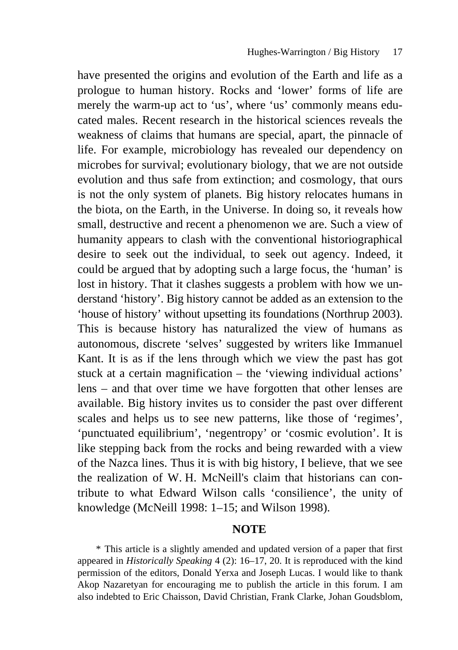have presented the origins and evolution of the Earth and life as a prologue to human history. Rocks and 'lower' forms of life are merely the warm-up act to 'us', where 'us' commonly means educated males. Recent research in the historical sciences reveals the weakness of claims that humans are special, apart, the pinnacle of life. For example, microbiology has revealed our dependency on microbes for survival; evolutionary biology, that we are not outside evolution and thus safe from extinction; and cosmology, that ours is not the only system of planets. Big history relocates humans in the biota, on the Earth, in the Universe. In doing so, it reveals how small, destructive and recent a phenomenon we are. Such a view of humanity appears to clash with the conventional historiographical desire to seek out the individual, to seek out agency. Indeed, it could be argued that by adopting such a large focus, the 'human' is lost in history. That it clashes suggests a problem with how we understand 'history'. Big history cannot be added as an extension to the 'house of history' without upsetting its foundations (Northrup 2003). This is because history has naturalized the view of humans as autonomous, discrete 'selves' suggested by writers like Immanuel Kant. It is as if the lens through which we view the past has got stuck at a certain magnification – the 'viewing individual actions' lens – and that over time we have forgotten that other lenses are available. Big history invites us to consider the past over different scales and helps us to see new patterns, like those of 'regimes', 'punctuated equilibrium', 'negentropy' or 'cosmic evolution'. It is like stepping back from the rocks and being rewarded with a view of the Nazca lines. Thus it is with big history, I believe, that we see the realization of W. H. McNeill's claim that historians can contribute to what Edward Wilson calls 'consilience', the unity of knowledge (McNeill 1998: 1–15; and Wilson 1998).

#### **NOTE**

\* This article is a slightly amended and updated version of a paper that first appeared in *Historically Speaking* 4 (2): 16–17, 20. It is reproduced with the kind permission of the editors, Donald Yerxa and Joseph Lucas. I would like to thank Akop Nazaretyan for encouraging me to publish the article in this forum. I am also indebted to Eric Chaisson, David Christian, Frank Clarke, Johan Goudsblom,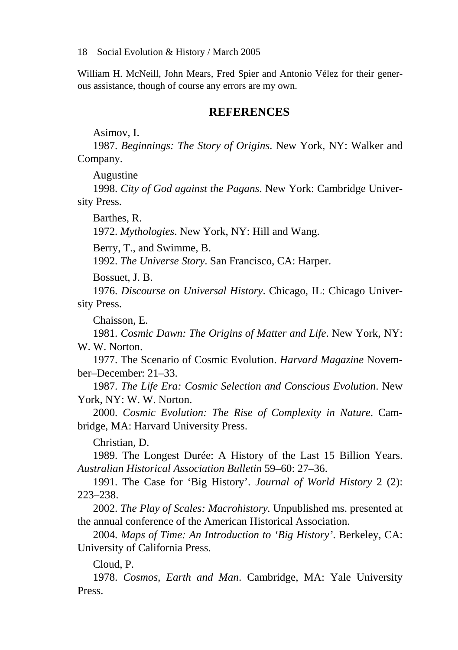18 Social Evolution & History / March 2005

William H. McNeill, John Mears, Fred Spier and Antonio Vélez for their generous assistance, though of course any errors are my own.

#### **REFERENCES**

Asimov, I.

1987. *Beginnings: The Story of Origins*. New York, NY: Walker and Company.

Augustine

1998. *City of God against the Pagans*. New York: Cambridge University Press.

Barthes, R.

1972. *Mythologies*. New York, NY: Hill and Wang.

Berry, T., and Swimme, B.

1992. *The Universe Story*. San Francisco, CA: Harper.

Bossuet, J. B.

1976. *Discourse on Universal History*. Chicago, IL: Chicago University Press.

Chaisson, E.

1981. *Cosmic Dawn: The Origins of Matter and Life*. New York, NY: W. W. Norton.

1977. The Scenario of Cosmic Evolution. *Harvard Magazine* November–December: 21–33.

1987. *The Life Era: Cosmic Selection and Conscious Evolution*. New York, NY: W. W. Norton.

2000. *Cosmic Evolution: The Rise of Complexity in Nature*. Cambridge, MA: Harvard University Press.

Christian, D.

1989. The Longest Durée: A History of the Last 15 Billion Years. *Australian Historical Association Bulletin* 59–60: 27–36.

1991. The Case for 'Big History'. *Journal of World History* 2 (2): 223–238.

2002. *The Play of Scales: Macrohistory.* Unpublished ms. presented at the annual conference of the American Historical Association.

2004. *Maps of Time: An Introduction to 'Big History'*. Berkeley, CA: University of California Press.

Cloud, P.

1978. *Cosmos, Earth and Man*. Cambridge, MA: Yale University Press.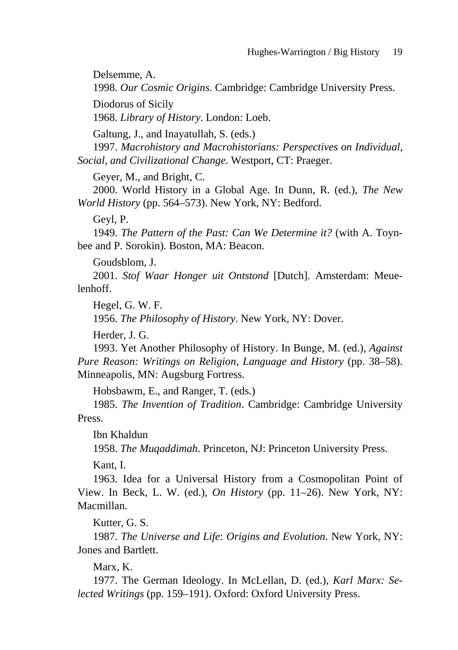Delsemme, A.

1998. *Our Cosmic Origins*. Cambridge: Cambridge University Press.

Diodorus of Sicily

1968. *Library of History*. London: Loeb.

Galtung, J., and Inayatullah, S. (eds.)

1997. *Macrohistory and Macrohistorians: Perspectives on Individual, Social, and Civilizational Change*. Westport, CT: Praeger.

Geyer, M., and Bright, C.

2000. World History in a Global Age. In Dunn, R. (ed.), *The New World History* (pp. 564–573). New York, NY: Bedford.

Geyl, P.

1949. *The Pattern of the Past: Can We Determine it?* (with A. Toynbee and P. Sorokin). Boston, MA: Beacon.

Goudsblom, J.

2001. *Stof Waar Honger uit Ontstond* [Dutch]. Amsterdam: Meuelenhoff.

Hegel, G. W. F.

1956. *The Philosophy of History*. New York, NY: Dover.

Herder, J. G.

1993. Yet Another Philosophy of History. In Bunge, M. (ed.), *Against Pure Reason: Writings on Religion, Language and History* (pp. 38–58). Minneapolis, MN: Augsburg Fortress.

Hobsbawm, E., and Ranger, T. (eds.)

1985. *The Invention of Tradition*. Cambridge: Cambridge University Press.

Ibn Khaldun

1958. *The Muqaddimah*. Princeton, NJ: Princeton University Press.

Kant, I.

1963. Idea for a Universal History from a Cosmopolitan Point of View. In Beck, L. W. (ed.), *On History* (pp. 11–26). New York, NY: Macmillan.

Kutter, G. S.

1987. *The Universe and Life*: *Origins and Evolution*. New York, NY: Jones and Bartlett.

Marx, K.

1977. The German Ideology. In McLellan, D. (ed.), *Karl Marx: Selected Writings* (pp. 159–191). Oxford: Oxford University Press.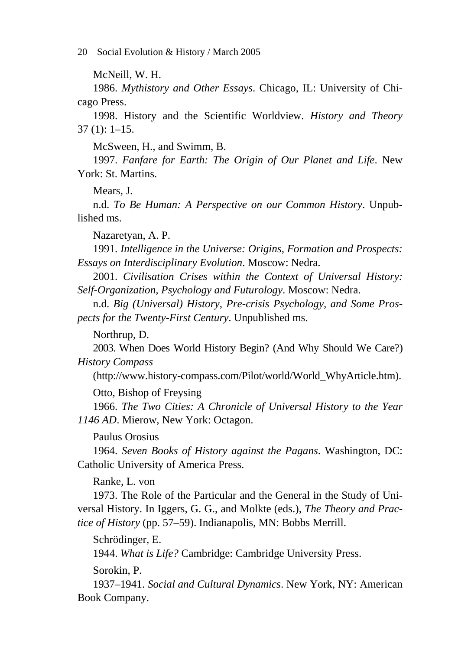20 Social Evolution & History / March 2005

McNeill, W. H.

1986. *Mythistory and Other Essays*. Chicago, IL: University of Chicago Press.

1998. History and the Scientific Worldview. *History and Theory* 37 (1): 1–15.

McSween, H., and Swimm, B.

1997. *Fanfare for Earth: The Origin of Our Planet and Life*. New York: St. Martins.

Mears, J.

n.d. *To Be Human: A Perspective on our Common History*. Unpublished ms.

Nazaretyan, A. P.

1991. *Intelligence in the Universe: Origins, Formation and Prospects: Essays on Interdisciplinary Evolution*. Moscow: Nedra.

2001. *Civilisation Crises within the Context of Universal History: Self-Organization, Psychology and Futurology*. Moscow: Nedra.

n.d. *Big (Universal) History, Pre-crisis Psychology, and Some Prospects for the Twenty-First Century*. Unpublished ms.

Northrup, D.

2003. When Does World History Begin? (And Why Should We Care?) *History Compass* 

(http://www.history-compass.com/Pilot/world/World\_WhyArticle.htm).

Otto, Bishop of Freysing

1966. *The Two Cities: A Chronicle of Universal History to the Year 1146 AD*. Mierow, New York: Octagon.

Paulus Orosius

1964. *Seven Books of History against the Pagans*. Washington, DC: Catholic University of America Press.

Ranke, L. von

1973. The Role of the Particular and the General in the Study of Universal History. In Iggers, G. G., and Molkte (eds.), *The Theory and Practice of History* (pp. 57–59). Indianapolis, MN: Bobbs Merrill.

Schrödinger, E.

1944. *What is Life?* Cambridge: Cambridge University Press.

Sorokin, P.

1937–1941. *Social and Cultural Dynamics*. New York, NY: American Book Company.